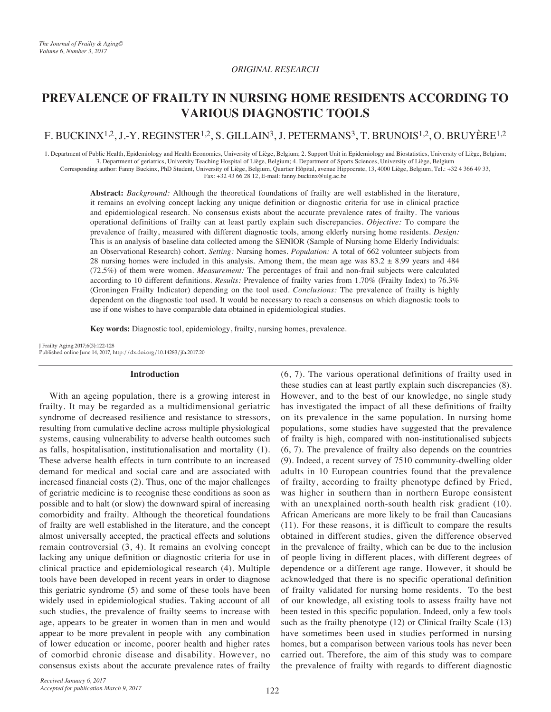### **ORIGINAL RESEARCH**

# **PREVALENCE OF FRAILTY IN NURSING HOME RESIDENTS ACCORDING TO TOOLS DIAGNOSTIC VARIOUS**

## F. BUCKINX<sup>1,2</sup>, J.-Y. REGINSTER<sup>1,2</sup>, S. GILLAIN<sup>3</sup>, J. PETERMANS<sup>3</sup>, T. BRUNOIS<sup>1,2</sup>, O. BRUYÈRE<sup>1,2</sup>

1. Department of Public Health, Epidemiology and Health Economics, University of Liège, Belgium; 2. Support Unit in Epidemiology and Biostatistics, University of Liège, Belgium; 3. Department of geriatrics, University Teaching Hospital of Liège, Belgium; 4. Department of Sports Sciences, University of Liège, Belgium Corresponding author: Fanny Buckinx, PhD Student, University of Liège, Belgium, Quartier Hôpital, avenue Hippocrate, 13, 4000 Liège, Belgium, Tel.: +32 4 366 49 33, Fax: +32 43 66 28 12, E-mail: fanny buckinx@ulg.ac.be

Abstract: Background: Although the theoretical foundations of frailty are well established in the literature, it remains an evolving concept lacking any unique definition or diagnostic criteria for use in clinical practice and epidemiological research. No consensus exists about the accurate prevalence rates of frailty. The various operational definitions of frailty can at least partly explain such discrepancies. Objective: To compare the prevalence of frailty, measured with different diagnostic tools, among elderly nursing home residents. *Design*: This is an analysis of baseline data collected among the SENIOR (Sample of Nursing home Elderly Individuals: an Observational Research) cohort. Setting: Nursing homes. Population: A total of 662 volunteer subjects from 28 nursing homes were included in this analysis. Among them, the mean age was  $83.2 \pm 8.99$  years and 484 (72.5%) of them were women. *Measurement*: The percentages of frail and non-frail subjects were calculated according to 10 different definitions. Results: Prevalence of frailty varies from 1.70% (Frailty Index) to 76.3% (Groningen Frailty Indicator) depending on the tool used. Conclusions: The prevalence of frailty is highly dependent on the diagnostic tool used. It would be necessary to reach a consensus on which diagnostic tools to use if one wishes to have comparable data obtained in epidemiological studies.

**Key words:** Diagnostic tool, epidemiology, frailty, nursing homes, prevalence.

J Frailty Aging 2017;6(3):122-128 Published online June 14, 2017, http://dx.doi.org/10.14283/jfa.2017.20

#### **Introduction**

With an ageing population, there is a growing interest in frailty. It may be regarded as a multidimensional geriatric syndrome of decreased resilience and resistance to stressors, resulting from cumulative decline across multiple physiological systems, causing vulnerability to adverse health outcomes such as falls, hospitalisation, institutionalisation and mortality (1). These adverse health effects in turn contribute to an increased demand for medical and social care and are associated with increased financial costs  $(2)$ . Thus, one of the major challenges of geriatric medicine is to recognise these conditions as soon as possible and to halt (or slow) the downward spiral of increasing comorbidity and frailty. Although the theoretical foundations of frailty are well established in the literature, and the concept almost universally accepted, the practical effects and solutions remain controversial  $(3, 4)$ . It remains an evolving concept lacking any unique definition or diagnostic criteria for use in clinical practice and epidemiological research (4). Multiple tools have been developed in recent years in order to diagnose this geriatric syndrome  $(5)$  and some of these tools have been widely used in epidemiological studies. Taking account of all such studies, the prevalence of frailty seems to increase with age, appears to be greater in women than in men and would appear to be more prevalent in people with any combination of lower education or income, poorer health and higher rates of comorbid chronic disease and disability. However, no consensus exists about the accurate prevalence rates of frailty

 $(6, 7)$ . The various operational definitions of frailty used in these studies can at least partly explain such discrepancies (8). However, and to the best of our knowledge, no single study has investigated the impact of all these definitions of frailty on its prevalence in the same population. In nursing home populations, some studies have suggested that the prevalence of frailty is high, compared with non-institutionalised subjects  $(6, 7)$ . The prevalence of frailty also depends on the countries  $(9)$ . Indeed, a recent survey of 7510 community-dwelling older adults in 10 European countries found that the prevalence of frailty, according to frailty phenotype defined by Fried, was higher in southern than in northern Europe consistent with an unexplained north-south health risk gradient  $(10)$ . African Americans are more likely to be frail than Caucasians  $r(11)$ . For these reasons, it is difficult to compare the results obtained in different studies, given the difference observed in the prevalence of frailty, which can be due to the inclusion of people living in different places, with different degrees of dependence or a different age range. However, it should be acknowledged that there is no specific operational definition of frailty validated for nursing home residents. To the best of our knowledge, all existing tools to assess frailty have not been tested in this specific population. Indeed, only a few tools such as the frailty phenotype  $(12)$  or Clinical frailty Scale  $(13)$ have sometimes been used in studies performed in nursing homes, but a comparison between various tools has never been carried out. Therefore, the aim of this study was to compare the prevalence of frailty with regards to different diagnostic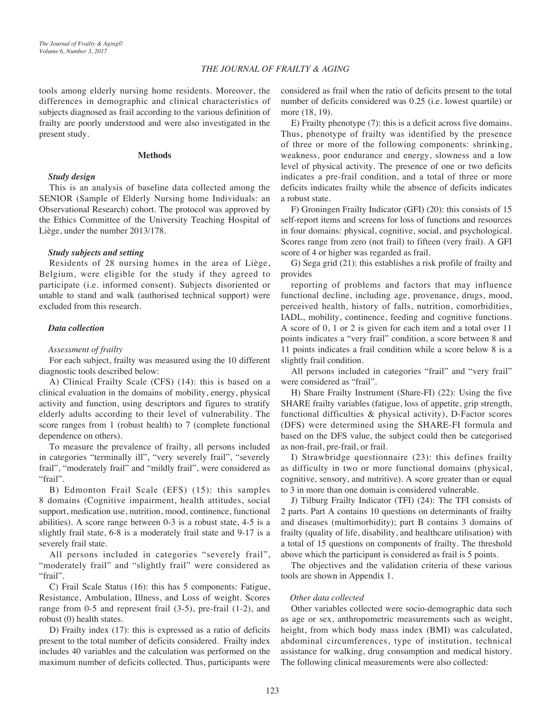## **THE JOURNAL OF FRAILTY & AGING**

tools among elderly nursing home residents. Moreover, the differences in demographic and clinical characteristics of subjects diagnosed as frail according to the various definition of frailty are poorly understood and were also investigated in the present study.

#### **Methods**

#### *<u>Study</u>* design

This is an analysis of baseline data collected among the SENIOR (Sample of Elderly Nursing home Individuals: an Observational Research) cohort. The protocol was approved by the Ethics Committee of the University Teaching Hospital of Liège, under the number 2013/178.

### **Study** subjects and setting

Residents of 28 nursing homes in the area of Liège, Belgium, were eligible for the study if they agreed to participate (i.e. informed consent). Subjects disoriented or unable to stand and walk (authorised technical support) were excluded from this research.

#### *Data* collection

#### *frailty of Assessment*

For each subject, frailty was measured using the 10 different diagnostic tools described below:

A) Clinical Frailty Scale (CFS) (14): this is based on a clinical evaluation in the domains of mobility, energy, physical activity and function, using descriptors and figures to stratify elderly adults according to their level of vulnerability. The score ranges from 1 (robust health) to 7 (complete functional dependence on others).

To measure the prevalence of frailty, all persons included in categories "terminally ill", "very severely frail", "severely frail", "moderately frail" and "mildly frail", were considered as "frail".

B) Edmonton Frail Scale (EFS) (15): this samples 8 domains (Cognitive impairment, health attitudes, social support, medication use, nutrition, mood, continence, functional abilities). A score range between  $0-3$  is a robust state,  $4-5$  is a slightly frail state,  $6-8$  is a moderately frail state and  $9-17$  is a severely frail state.

All persons included in categories "severely frail", " moderately frail" and "slightly frail" were considered as "frail".

C) Frail Scale Status  $(16)$ : this has 5 components: Fatigue, Resistance, Ambulation, Illness, and Loss of weight. Scores range from 0-5 and represent frail  $(3-5)$ , pre-frail  $(1-2)$ , and robust  $(0)$  health states.

D) Frailty index  $(17)$ : this is expressed as a ratio of deficits present to the total number of deficits considered. Frailty index includes 40 variables and the calculation was performed on the maximum number of deficits collected. Thus, participants were

considered as frail when the ratio of deficits present to the total number of deficits considered was 0.25 (i.e. lowest quartile) or more (18, 19).

 $E$ ) Frailty phenotype (7): this is a deficit across five domains. Thus, phenotype of frailty was identified by the presence of three or more of the following components: shrinking, weakness, poor endurance and energy, slowness and a low level of physical activity. The presence of one or two deficits indicates a pre-frail condition, and a total of three or more deficits indicates frailty while the absence of deficits indicates a robust state.

F) Groningen Frailty Indicator (GFI) (20): this consists of 15 self-report items and screens for loss of functions and resources in four domains: physical, cognitive, social, and psychological. Scores range from zero (not frail) to fifteen (very frail). A GFI score of 4 or higher was regarded as frail.

G) Sega grid  $(21)$ : this establishes a risk profile of frailty and provides

reporting of problems and factors that may influence functional decline, including age, provenance, drugs, mood, perceived health, history of falls, nutrition, comorbidities, IADL, mobility, continence, feeding and cognitive functions. A score of  $0, 1$  or  $2$  is given for each item and a total over  $11$ points indicates a "very frail" condition, a score between 8 and 11 points indicates a frail condition while a score below 8 is a slightly frail condition.

All persons included in categories "frail" and "very frail" were considered as "frail".

H) Share Frailty Instrument (Share-FI) (22): Using the five SHARE frailty variables (fatigue, loss of appetite, grip strength, functional difficulties  $\&$  physical activity), D-Factor scores (DFS) were determined using the SHARE-FI formula and based on the DFS value, the subject could then be categorised as non-frail, pre-frail, or frail.

I) Strawbridge questionnaire  $(23)$ : this defines frailty as difficulty in two or more functional domains (physical, cognitive, sensory, and nutritive). A score greater than or equal to 3 in more than one domain is considered vulnerable.

J) Tilburg Frailty Indicator (TFI) (24): The TFI consists of 2 parts. Part A contains 10 questions on determinants of frailty and diseases (multimorbidity); part B contains 3 domains of frailty (quality of life, disability, and healthcare utilisation) with a total of 15 questions on components of frailty. The threshold above which the participant is considered as frail is 5 points.

The objectives and the validation criteria of these various tools are shown in Appendix 1.

### *collected data Other*

Other variables collected were socio-demographic data such as age or sex, anthropometric measurements such as weight, height, from which body mass index (BMI) was calculated, abdominal circumferences, type of institution, technical assistance for walking, drug consumption and medical history. The following clinical measurements were also collected: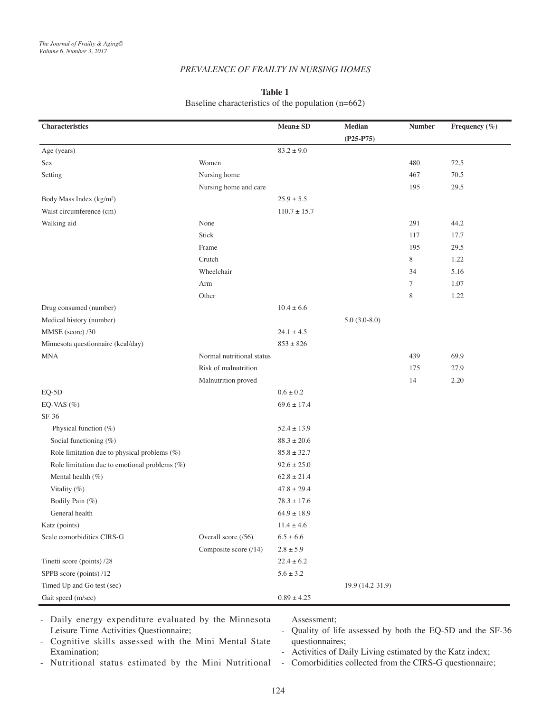## **PREVALENCE OF FRAILTY IN NURSING HOMES**

### **1 Table**

Baseline characteristics of the population  $(n=662)$ 

| <b>Characteristics</b>                        |                           | Mean± SD         | Median           | <b>Number</b> | Frequency (%) |
|-----------------------------------------------|---------------------------|------------------|------------------|---------------|---------------|
|                                               |                           |                  | $(P25-P75)$      |               |               |
| Age (years)                                   |                           | $83.2 \pm 9.0$   |                  |               |               |
| Sex                                           | Women                     |                  |                  | 480           | 72.5          |
| Setting                                       | Nursing home              |                  |                  | 467           | 70.5          |
|                                               | Nursing home and care     |                  |                  | 195           | 29.5          |
| Body Mass Index (kg/m <sup>2</sup> )          |                           | $25.9 \pm 5.5$   |                  |               |               |
| Waist circumference (cm)                      |                           | $110.7 \pm 15.7$ |                  |               |               |
| Walking aid                                   | None                      |                  |                  | 291           | 44.2          |
|                                               | Stick                     |                  |                  | 117           | 17.7          |
|                                               | Frame                     |                  |                  | 195           | 29.5          |
|                                               | Crutch                    |                  |                  | $\,$ 8 $\,$   | 1.22          |
|                                               | Wheelchair                |                  |                  | 34            | 5.16          |
|                                               | Arm                       |                  |                  | $\tau$        | 1.07          |
|                                               | Other                     |                  |                  | 8             | 1.22          |
| Drug consumed (number)                        |                           | $10.4 \pm 6.6$   |                  |               |               |
| Medical history (number)                      |                           |                  | $5.0(3.0-8.0)$   |               |               |
| MMSE (score) /30                              |                           | $24.1 \pm 4.5$   |                  |               |               |
| Minnesota questionnaire (kcal/day)            |                           | $853 \pm 826$    |                  |               |               |
| MNA                                           | Normal nutritional status |                  |                  | 439           | 69.9          |
|                                               | Risk of malnutrition      |                  |                  | 175           | 27.9          |
|                                               | Malnutrition proved       |                  |                  | 14            | 2.20          |
| $EQ-5D$                                       |                           | $0.6\pm0.2$      |                  |               |               |
| EQ-VAS $(\%)$                                 |                           | $69.6 \pm 17.4$  |                  |               |               |
| $SF-36$                                       |                           |                  |                  |               |               |
| Physical function (%)                         |                           | $52.4 \pm 13.9$  |                  |               |               |
| Social functioning (%)                        |                           | $88.3 \pm 20.6$  |                  |               |               |
| Role limitation due to physical problems (%)  |                           | $85.8 \pm 32.7$  |                  |               |               |
| Role limitation due to emotional problems (%) |                           | $92.6 \pm 25.0$  |                  |               |               |
| Mental health (%)                             |                           | $62.8 \pm 21.4$  |                  |               |               |
| Vitality (%)                                  |                           | $47.8 \pm 29.4$  |                  |               |               |
| Bodily Pain (%)                               |                           | $78.3 \pm 17.6$  |                  |               |               |
| General health                                |                           | $64.9 \pm 18.9$  |                  |               |               |
| Katz (points)                                 |                           | $11.4 \pm 4.6$   |                  |               |               |
| Scale comorbidities CIRS-G                    | Overall score (/56)       | $6.5 \pm 6.6$    |                  |               |               |
|                                               | Composite score (/14)     | $2.8\pm5.9$      |                  |               |               |
| Tinetti score (points) /28                    |                           | $22.4\pm6.2$     |                  |               |               |
| SPPB score (points) /12                       |                           | $5.6 \pm 3.2$    |                  |               |               |
| Timed Up and Go test (sec)                    |                           |                  | 19.9 (14.2-31.9) |               |               |
| Gait speed (m/sec)                            |                           | $0.89 \pm 4.25$  |                  |               |               |

- Daily energy expenditure evaluated by the Minnesota Leisure Time Activities Questionnaire;

Assessment;

- Quality of life assessed by both the EQ-5D and the SF-36 questionnaires;
- Cognitive skills assessed with the Mini Mental State Examination;
- Nutritional status estimated by the Mini Nutritional

- Activities of Daily Living estimated by the Katz index;

- Comorbidities collected from the CIRS-G questionnaire;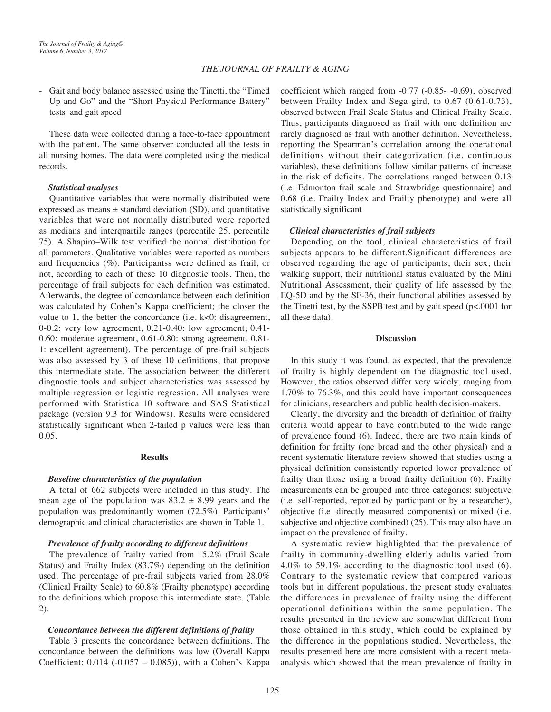### **THE JOURNAL OF FRAILTY & AGING**

- Gait and body balance assessed using the Tinetti, the "Timed Up and Go" and the "Short Physical Performance Battery" tests and gait speed

These data were collected during a face-to-face appointment with the patient. The same observer conducted all the tests in all nursing homes. The data were completed using the medical records.

### *analyses Statistical*

Quantitative variables that were normally distributed were expressed as means  $\pm$  standard deviation (SD), and quantitative variables that were not normally distributed were reported as medians and interquartile ranges (percentile 25, percentile 75). A Shapiro-Wilk test verified the normal distribution for all parameters. Qualitative variables were reported as numbers and frequencies  $(\%)$ . Participantss were defined as frail, or not, according to each of these 10 diagnostic tools. Then, the percentage of frail subjects for each definition was estimated. Afterwards, the degree of concordance between each definition was calculated by Cohen's Kappa coefficient; the closer the value to 1, the better the concordance (i.e.  $k<0$ : disagreement, 0-0.2: very low agreement, 0.21-0.40: low agreement, 0.41-0.60: moderate agreement, 0.61-0.80: strong agreement,  $0.81$ -1: excellent agreement). The percentage of pre-frail subjects was also assessed by  $3$  of these 10 definitions, that propose this intermediate state. The association between the different diagnostic tools and subject characteristics was assessed by multiple regression or logistic regression. All analyses were performed with Statistica 10 software and SAS Statistical package (version 9.3 for Windows). Results were considered statistically significant when 2-tailed p values were less than 0.05.

#### **Results**

#### **Baseline characteristics of the population**

A total of 662 subjects were included in this study. The mean age of the population was  $83.2 \pm 8.99$  years and the population was predominantly women (72.5%). Participants' demographic and clinical characteristics are shown in Table 1.

### Prevalence of frailty according to different definitions

The prevalence of frailty varied from  $15.2\%$  (Frail Scale Status) and Frailty Index  $(83.7%)$  depending on the definition used. The percentage of pre-frail subjects varied from  $28.0\%$ (Clinical Frailty Scale) to  $60.8\%$  (Frailty phenotype) according to the definitions which propose this intermediate state. (Table  $2).$ 

#### *Concordance between the different definitions of frailty*

Table 3 presents the concordance between definitions. The concordance between the definitions was low (Overall Kappa Coefficient:  $0.014$  (- $0.057 - 0.085$ )), with a Cohen's Kappa coefficient which ranged from  $-0.77$   $(-0.85 - 0.69)$ , observed between Frailty Index and Sega gird, to  $0.67$   $(0.61-0.73)$ , observed between Frail Scale Status and Clinical Frailty Scale. Thus, participants diagnosed as frail with one definition are rarely diagnosed as frail with another definition. Nevertheless, reporting the Spearman's correlation among the operational definitions without their categorization (i.e. continuous variables), these definitions follow similar patterns of increase in the risk of deficits. The correlations ranged between 0.13 (i.e. Edmonton frail scale and Strawbridge questionnaire) and 0.68 (i.e. Frailty Index and Frailty phenotype) and were all statistically significant

#### *subjects frail of characteristics Clinical*

Depending on the tool, clinical characteristics of frail subjects appears to be different.Significant differences are observed regarding the age of participants, their sex, their walking support, their nutritional status evaluated by the Mini Nutritional Assessment, their quality of life assessed by the EQ-5D and by the SF-36, their functional abilities assessed by the Tinetti test, by the SSPB test and by gait speed  $(p< .0001$  for all these data).

#### **Discussion**

In this study it was found, as expected, that the prevalence of frailty is highly dependent on the diagnostic tool used. However, the ratios observed differ very widely, ranging from  $1.70\%$  to  $76.3\%$ , and this could have important consequences for clinicians, researchers and public health decision-makers.

Clearly, the diversity and the breadth of definition of frailty criteria would appear to have contributed to the wide range of prevalence found (6). Indeed, there are two main kinds of definition for frailty (one broad and the other physical) and a recent systematic literature review showed that studies using a physical definition consistently reported lower prevalence of frailty than those using a broad frailty definition (6). Frailty measurements can be grouped into three categories: subjective  $(i.e.$  self-reported, reported by participant or by a researcher), objective (i.e. directly measured components) or mixed (i.e. subjective and objective combined) (25). This may also have an impact on the prevalence of frailty.

A systematic review highlighted that the prevalence of frailty in community-dwelling elderly adults varied from 4.0% to 59.1% according to the diagnostic tool used  $(6)$ . Contrary to the systematic review that compared various tools but in different populations, the present study evaluates the differences in prevalence of frailty using the different operational definitions within the same population. The results presented in the review are somewhat different from those obtained in this study, which could be explained by the difference in the populations studied. Nevertheless, the analysis which showed that the mean prevalence of frailty in results presented here are more consistent with a recent meta-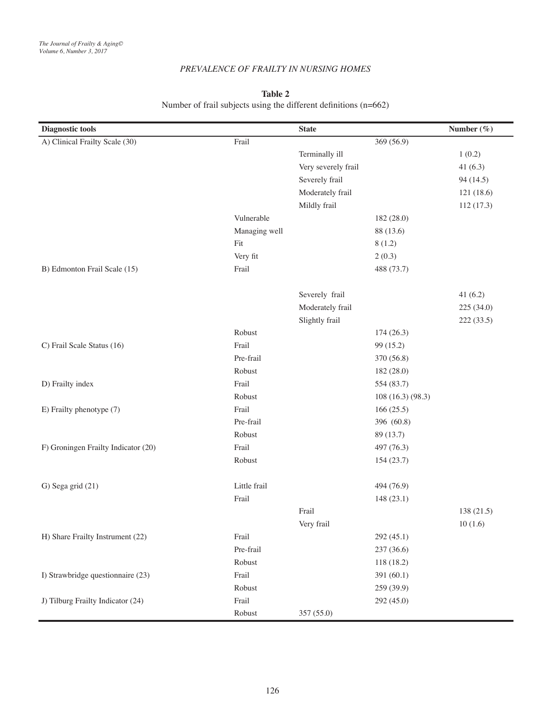## **PREVALENCE OF FRAILTY IN NURSING HOMES**

## **2 Table**

# Number of frail subjects using the different definitions  $(n=662)$

| <b>Diagnostic tools</b>             |                                  | <b>State</b>        |                   | Number $(\%)$ |
|-------------------------------------|----------------------------------|---------------------|-------------------|---------------|
| A) Clinical Frailty Scale (30)      | Frail                            |                     | 369 (56.9)        |               |
|                                     |                                  | Terminally ill      |                   | 1(0.2)        |
|                                     |                                  | Very severely frail |                   | 41 $(6.3)$    |
|                                     |                                  | Severely frail      |                   | 94 (14.5)     |
|                                     | Moderately frail<br>Mildly frail |                     |                   | 121(18.6)     |
|                                     |                                  |                     |                   | 112(17.3)     |
|                                     | Vulnerable                       |                     | 182 (28.0)        |               |
|                                     | Managing well                    |                     | 88 (13.6)         |               |
|                                     | Fit                              |                     | 8(1.2)            |               |
|                                     | Very fit                         |                     | 2(0.3)            |               |
| B) Edmonton Frail Scale (15)        | Frail                            |                     | 488 (73.7)        |               |
|                                     |                                  | Severely frail      |                   | 41(6.2)       |
|                                     |                                  | Moderately frail    |                   | 225 (34.0)    |
|                                     |                                  | Slightly frail      |                   | 222 (33.5)    |
|                                     | Robust                           |                     | 174(26.3)         |               |
| C) Frail Scale Status (16)          | Frail                            |                     | 99 (15.2)         |               |
|                                     | Pre-frail                        |                     | 370 (56.8)        |               |
|                                     | Robust                           |                     | 182 (28.0)        |               |
| D) Frailty index                    | Frail                            |                     | 554 (83.7)        |               |
|                                     | Robust                           |                     | 108 (16.3) (98.3) |               |
| E) Frailty phenotype (7)            | Frail                            |                     | 166(25.5)         |               |
|                                     | Pre-frail                        |                     | 396 (60.8)        |               |
|                                     | Robust                           |                     | 89 (13.7)         |               |
| F) Groningen Frailty Indicator (20) | Frail                            |                     | 497 (76.3)        |               |
|                                     | Robust                           |                     | 154(23.7)         |               |
| G) Sega grid (21)                   | Little frail                     |                     | 494 (76.9)        |               |
|                                     | Frail                            |                     | 148 (23.1)        |               |
|                                     |                                  | Frail               |                   | 138 (21.5)    |
|                                     |                                  | Very frail          |                   | 10(1.6)       |
| H) Share Frailty Instrument (22)    | Frail                            |                     | 292 (45.1)        |               |
|                                     | Pre-frail                        |                     | 237 (36.6)        |               |
|                                     | Robust                           |                     | 118 (18.2)        |               |
| I) Strawbridge questionnaire (23)   | Frail                            |                     | 391 (60.1)        |               |
|                                     | Robust                           |                     | 259 (39.9)        |               |
| J) Tilburg Frailty Indicator (24)   | Frail                            |                     | 292 (45.0)        |               |
|                                     | Robust                           | 357 (55.0)          |                   |               |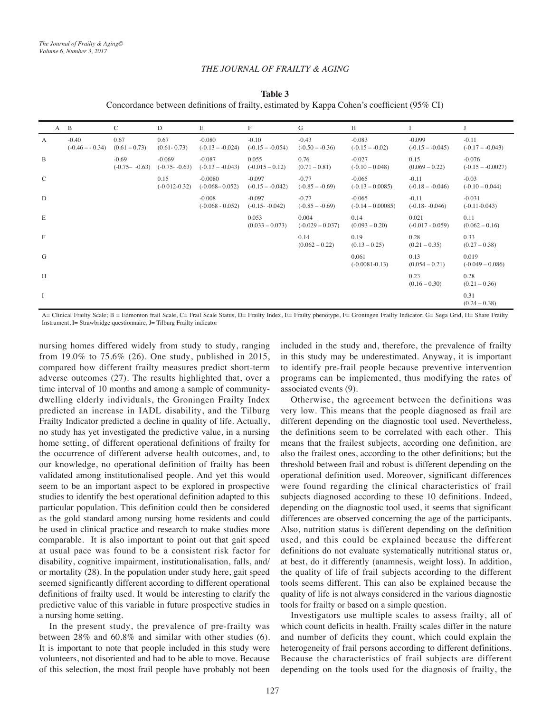## **THE JOURNAL OF FRAILTY & AGING**

**3 Table**

Concordance between definitions of frailty, estimated by Kappa Cohen's coefficient  $(95\% \text{ CI})$ 

|               | A B                         | C                            | D                            | E                               | F                             | G                            | H                               |                               |                                |
|---------------|-----------------------------|------------------------------|------------------------------|---------------------------------|-------------------------------|------------------------------|---------------------------------|-------------------------------|--------------------------------|
| A             | $-0.40$<br>$(-0.46 - 0.34)$ | 0.67<br>$(0.61 - 0.73)$      | 0.67<br>$(0.61 - 0.73)$      | $-0.080$<br>$(-0.13 - 0.024)$   | $-0.10$<br>$(-0.15 - 0.054)$  | $-0.43$<br>$(-0.50 - 0.36)$  | $-0.083$<br>$(-0.15 - 0.02)$    | $-0.099$<br>$(-0.15 - 0.045)$ | $-0.11$<br>$(-0.17 - -0.043)$  |
| B             |                             | $-0.69$<br>$(-0.75 - -0.63)$ | $-0.069$<br>$(-0.75 - 0.63)$ | $-0.087$<br>$(-0.13 - 0.043)$   | 0.055<br>$(-0.015 - 0.12)$    | 0.76<br>$(0.71 - 0.81)$      | $-0.027$<br>$(-0.10 - 0.048)$   | 0.15<br>$(0.069 - 0.22)$      | $-0.076$<br>$(-0.15 - 0.0027)$ |
| $\mathcal{C}$ |                             |                              | 0.15<br>$(-0.012 - 0.32)$    | $-0.0080$<br>$(-0.068 - 0.052)$ | $-0.097$<br>$(-0.15 - 0.042)$ | $-0.77$<br>$(-0.85 - -0.69)$ | $-0.065$<br>$(-0.13 - 0.0085)$  | $-0.11$<br>$(-0.18 - 0.046)$  | $-0.03$<br>$(-0.10 - 0.044)$   |
| D             |                             |                              |                              | $-0.008$<br>$(-0.068 - 0.052)$  | $-0.097$<br>$(-0.15 - 0.042)$ | $-0.77$<br>$(-0.85 - -0.69)$ | $-0.065$<br>$(-0.14 - 0.00085)$ | $-0.11$<br>$(-0.18 - 0.046)$  | $-0.031$<br>$(-0.11 - 0.043)$  |
| E             |                             |                              |                              |                                 | 0.053<br>$(0.033 - 0.073)$    | 0.004<br>$(-0.029 - 0.037)$  | 0.14<br>$(0.093 - 0.20)$        | 0.021<br>$(-0.017 - 0.059)$   | 0.11<br>$(0.062 - 0.16)$       |
| $\mathbf F$   |                             |                              |                              |                                 |                               | 0.14<br>$(0.062 - 0.22)$     | 0.19<br>$(0.13 - 0.25)$         | 0.28<br>$(0.21 - 0.35)$       | 0.33<br>$(0.27 - 0.38)$        |
| G             |                             |                              |                              |                                 |                               |                              | 0.061<br>$(-0.0081 - 0.13)$     | 0.13<br>$(0.054 - 0.21)$      | 0.019<br>$(-0.049 - 0.086)$    |
| H             |                             |                              |                              |                                 |                               |                              |                                 | 0.23<br>$(0.16 - 0.30)$       | 0.28<br>$(0.21 - 0.36)$        |
| Ι.            |                             |                              |                              |                                 |                               |                              |                                 |                               | 0.31<br>$(0.24 - 0.38)$        |

A= Clinical Frailty Scale; B = Edmonton frail Scale, C= Frail Scale Status, D= Frailty Index, E= Frailty phenotype, F= Groningen Frailty Indicator, G= Sega Grid, H= Share Frailty Instrument, I= Strawbridge questionnaire, J= Tilburg Frailty indicator

nursing homes differed widely from study to study, ranging from  $19.0\%$  to  $75.6\%$  (26). One study, published in 2015, compared how different frailty measures predict short-term adverse outcomes (27). The results highlighted that, over a dwelling elderly individuals, the Groningen Frailty Index time interval of 10 months and among a sample of communitypredicted an increase in IADL disability, and the Tilburg Frailty Indicator predicted a decline in quality of life. Actually, no study has yet investigated the predictive value, in a nursing home setting, of different operational definitions of frailty for the occurrence of different adverse health outcomes, and, to our knowledge, no operational definition of frailty has been validated among institutionalised people. And yet this would seem to be an important aspect to be explored in prospective studies to identify the best operational definition adapted to this particular population. This definition could then be considered as the gold standard among nursing home residents and could be used in clinical practice and research to make studies more comparable. It is also important to point out that gait speed at usual pace was found to be a consistent risk factor for disability, cognitive impairment, institutionalisation, falls, and/ or mortality (28). In the population under study here, gait speed seemed significantly different according to different operational definitions of frailty used. It would be interesting to clarify the predictive value of this variable in future prospective studies in a nursing home setting.

In the present study, the prevalence of pre-frailty was between  $28\%$  and  $60.8\%$  and similar with other studies (6). It is important to note that people included in this study were volunteers, not disoriented and had to be able to move. Because of this selection, the most frail people have probably not been included in the study and, therefore, the prevalence of frailty in this study may be underestimated. Anyway, it is important to identify pre-frail people because preventive intervention programs can be implemented, thus modifying the rates of associated events  $(9)$ .

Otherwise, the agreement between the definitions was very low. This means that the people diagnosed as frail are different depending on the diagnostic tool used. Nevertheless, the definitions seem to be correlated with each other. This means that the frailest subjects, according one definition, are also the frailest ones, according to the other definitions; but the thre shold between frail and robust is different depending on the operational definition used. Moreover, significant differences were found regarding the clinical characteristics of frail subjects diagnosed according to these 10 definitions. Indeed, depending on the diagnostic tool used, it seems that significant differences are observed concerning the age of the participants. Also, nutrition status is different depending on the definition used, and this could be explained because the different definitions do not evaluate systematically nutritional status or, at best, do it differently (anamnesis, weight loss). In addition, the quality of life of frail subjects according to the different tools seems different. This can also be explained because the quality of life is not always considered in the various diagnostic tools for frailty or based on a simple question.

Investigators use multiple scales to assess frailty, all of which count deficits in health. Frailty scales differ in the nature and number of deficits they count, which could explain the heterogeneity of frail persons according to different definitions. Because the characteristics of frail subjects are different depending on the tools used for the diagnosis of frailty, the